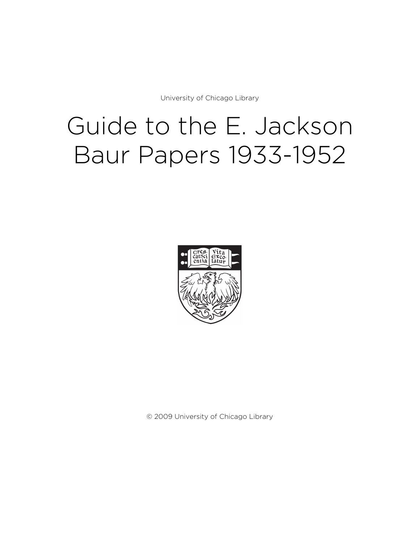University of Chicago Library

# Guide to the E. Jackson Baur Papers 1933-1952



© 2009 University of Chicago Library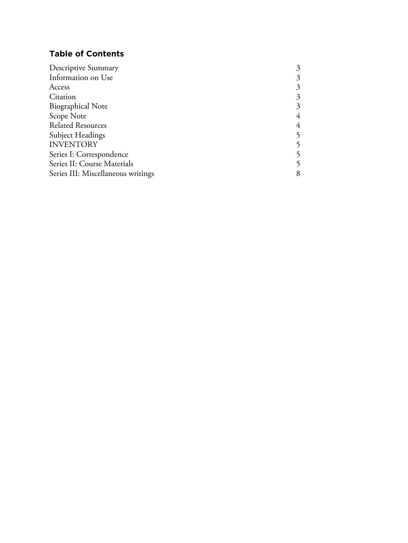# **Table of Contents**

| Descriptive Summary                | 3 |
|------------------------------------|---|
| Information on Use                 | 3 |
| Access                             | 3 |
| Citation                           | 3 |
| <b>Biographical Note</b>           | 3 |
| Scope Note                         | 4 |
| <b>Related Resources</b>           | 4 |
| <b>Subject Headings</b>            |   |
| <b>INVENTORY</b>                   |   |
| Series I: Correspondence           |   |
| Series II: Course Materials        |   |
| Series III: Miscellaneous writings | 8 |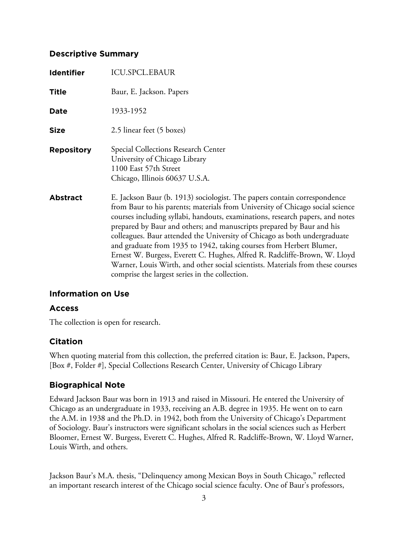## **Descriptive Summary**

| <b>Identifier</b> | <b>ICU.SPCL.EBAUR</b>                                                                                                                                                                                                                                                                                                                                                                                                                                                                                                                                                                                                                                                                    |
|-------------------|------------------------------------------------------------------------------------------------------------------------------------------------------------------------------------------------------------------------------------------------------------------------------------------------------------------------------------------------------------------------------------------------------------------------------------------------------------------------------------------------------------------------------------------------------------------------------------------------------------------------------------------------------------------------------------------|
| <b>Title</b>      | Baur, E. Jackson. Papers                                                                                                                                                                                                                                                                                                                                                                                                                                                                                                                                                                                                                                                                 |
| Date              | 1933-1952                                                                                                                                                                                                                                                                                                                                                                                                                                                                                                                                                                                                                                                                                |
| <b>Size</b>       | 2.5 linear feet (5 boxes)                                                                                                                                                                                                                                                                                                                                                                                                                                                                                                                                                                                                                                                                |
| <b>Repository</b> | Special Collections Research Center<br>University of Chicago Library<br>1100 East 57th Street<br>Chicago, Illinois 60637 U.S.A.                                                                                                                                                                                                                                                                                                                                                                                                                                                                                                                                                          |
| <b>Abstract</b>   | E. Jackson Baur (b. 1913) sociologist. The papers contain correspondence<br>from Baur to his parents; materials from University of Chicago social science<br>courses including syllabi, handouts, examinations, research papers, and notes<br>prepared by Baur and others; and manuscripts prepared by Baur and his<br>colleagues. Baur attended the University of Chicago as both undergraduate<br>and graduate from 1935 to 1942, taking courses from Herbert Blumer,<br>Ernest W. Burgess, Everett C. Hughes, Alfred R. Radcliffe-Brown, W. Lloyd<br>Warner, Louis Wirth, and other social scientists. Materials from these courses<br>comprise the largest series in the collection. |

# **Information on Use**

#### **Access**

The collection is open for research.

# **Citation**

When quoting material from this collection, the preferred citation is: Baur, E. Jackson, Papers, [Box #, Folder #], Special Collections Research Center, University of Chicago Library

# **Biographical Note**

Edward Jackson Baur was born in 1913 and raised in Missouri. He entered the University of Chicago as an undergraduate in 1933, receiving an A.B. degree in 1935. He went on to earn the A.M. in 1938 and the Ph.D. in 1942, both from the University of Chicago's Department of Sociology. Baur's instructors were significant scholars in the social sciences such as Herbert Bloomer, Ernest W. Burgess, Everett C. Hughes, Alfred R. Radcliffe-Brown, W. Lloyd Warner, Louis Wirth, and others.

Jackson Baur's M.A. thesis, "Delinquency among Mexican Boys in South Chicago," reflected an important research interest of the Chicago social science faculty. One of Baur's professors,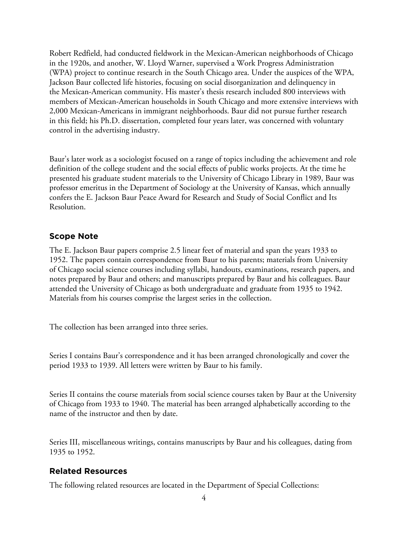Robert Redfield, had conducted fieldwork in the Mexican-American neighborhoods of Chicago in the 1920s, and another, W. Lloyd Warner, supervised a Work Progress Administration (WPA) project to continue research in the South Chicago area. Under the auspices of the WPA, Jackson Baur collected life histories, focusing on social disorganization and delinquency in the Mexican-American community. His master's thesis research included 800 interviews with members of Mexican-American households in South Chicago and more extensive interviews with 2,000 Mexican-Americans in immigrant neighborhoods. Baur did not pursue further research in this field; his Ph.D. dissertation, completed four years later, was concerned with voluntary control in the advertising industry.

Baur's later work as a sociologist focused on a range of topics including the achievement and role definition of the college student and the social effects of public works projects. At the time he presented his graduate student materials to the University of Chicago Library in 1989, Baur was professor emeritus in the Department of Sociology at the University of Kansas, which annually confers the E. Jackson Baur Peace Award for Research and Study of Social Conflict and Its Resolution.

## **Scope Note**

The E. Jackson Baur papers comprise 2.5 linear feet of material and span the years 1933 to 1952. The papers contain correspondence from Baur to his parents; materials from University of Chicago social science courses including syllabi, handouts, examinations, research papers, and notes prepared by Baur and others; and manuscripts prepared by Baur and his colleagues. Baur attended the University of Chicago as both undergraduate and graduate from 1935 to 1942. Materials from his courses comprise the largest series in the collection.

The collection has been arranged into three series.

Series I contains Baur's correspondence and it has been arranged chronologically and cover the period 1933 to 1939. All letters were written by Baur to his family.

Series II contains the course materials from social science courses taken by Baur at the University of Chicago from 1933 to 1940. The material has been arranged alphabetically according to the name of the instructor and then by date.

Series III, miscellaneous writings, contains manuscripts by Baur and his colleagues, dating from 1935 to 1952.

# **Related Resources**

The following related resources are located in the Department of Special Collections: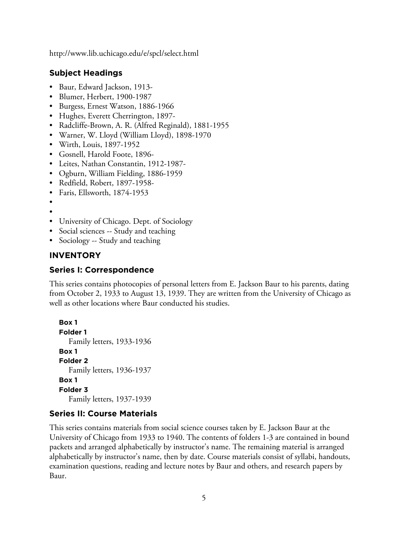http://www.lib.uchicago.edu/e/spcl/select.html

#### **Subject Headings**

- Baur, Edward Jackson, 1913-
- Blumer, Herbert, 1900-1987
- Burgess, Ernest Watson, 1886-1966
- Hughes, Everett Cherrington, 1897-
- Radcliffe-Brown, A. R. (Alfred Reginald), 1881-1955
- Warner, W. Lloyd (William Lloyd), 1898-1970
- Wirth, Louis, 1897-1952
- Gosnell, Harold Foote, 1896-
- Leites, Nathan Constantin, 1912-1987-
- Ogburn, William Fielding, 1886-1959
- Redfield, Robert, 1897-1958-
- Faris, Ellsworth, 1874-1953
- •
- •
- University of Chicago. Dept. of Sociology
- Social sciences -- Study and teaching
- Sociology -- Study and teaching

#### **INVENTORY**

#### **Series I: Correspondence**

This series contains photocopies of personal letters from E. Jackson Baur to his parents, dating from October 2, 1933 to August 13, 1939. They are written from the University of Chicago as well as other locations where Baur conducted his studies.

```
Box 1
Folder 1
  Family letters, 1933-1936
Box 1
Folder 2
  Family letters, 1936-1937
Box 1
Folder 3
  Family letters, 1937-1939
```
#### **Series II: Course Materials**

This series contains materials from social science courses taken by E. Jackson Baur at the University of Chicago from 1933 to 1940. The contents of folders 1-3 are contained in bound packets and arranged alphabetically by instructor's name. The remaining material is arranged alphabetically by instructor's name, then by date. Course materials consist of syllabi, handouts, examination questions, reading and lecture notes by Baur and others, and research papers by Baur.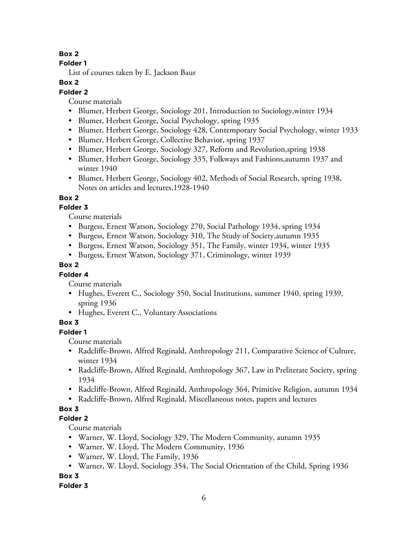# **Box 2**

# **Folder 1**

List of courses taken by E. Jackson Baur

# **Box 2**

# **Folder 2**

Course materials

- Blumer, Herbert George, Sociology 201, Introduction to Sociology,winter 1934
- Blumer, Herbert George, Social Psychology, spring 1935
- Blumer, Herbert George, Sociology 428, Contemporary Social Psychology, winter 1933
- Blumer, Herbert George, Collective Behavior, spring 1937
- Blumer, Herbert George, Sociology 327, Reform and Revolution,spring 1938
- Blumer, Herbert George, Sociology 335, Folkways and Fashions,autumn 1937 and winter 1940
- Blumer, Herbert George, Sociology 402, Methods of Social Research, spring 1938, Notes on articles and lectures,1928-1940

# **Box 2**

# **Folder 3**

Course materials

- Burgess, Ernest Watson, Sociology 270, Social Pathology 1934, spring 1934
- Burgess, Ernest Watson, Sociology 310, The Study of Society,autumn 1935
- Burgess, Ernest Watson, Sociology 351, The Family, winter 1934, winter 1935
- Burgess, Ernest Watson, Sociology 371, Criminology, winter 1939

# **Box 2**

# **Folder 4**

Course materials

- Hughes, Everett C., Sociology 350, Social Institutions, summer 1940, spring 1939, spring 1936
- Hughes, Everett C., Voluntary Associations

# **Box 3**

**Folder 1**

Course materials

- Radcliffe-Brown, Alfred Reginald, Anthropology 211, Comparative Science of Culture, winter 1934
- Radcliffe-Brown, Alfred Reginald, Anthropology 367, Law in Preliterate Society, spring 1934
- Radcliffe-Brown, Alfred Reginald, Anthropology 364, Primitive Religion, autumn 1934
- Radcliffe-Brown, Alfred Reginald, Miscellaneous notes, papers and lectures

# **Box 3**

# **Folder 2**

Course materials

- Warner, W. Lloyd, Sociology 329, The Modern Community, autumn 1935
- Warner, W. Lloyd, The Modern Community, 1936
- Warner, W. Lloyd, The Family, 1936
- Warner, W. Lloyd, Sociology 354, The Social Orientation of the Child, Spring 1936

**Box 3**

# **Folder 3**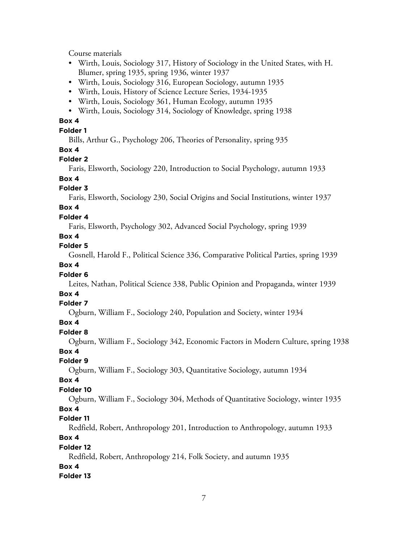Course materials

- Wirth, Louis, Sociology 317, History of Sociology in the United States, with H. Blumer, spring 1935, spring 1936, winter 1937
- Wirth, Louis, Sociology 316, European Sociology, autumn 1935
- Wirth, Louis, History of Science Lecture Series, 1934-1935
- Wirth, Louis, Sociology 361, Human Ecology, autumn 1935
- Wirth, Louis, Sociology 314, Sociology of Knowledge, spring 1938

#### **Box 4**

**Folder 1**

Bills, Arthur G., Psychology 206, Theories of Personality, spring 935

#### **Box 4**

#### **Folder 2**

Faris, Elsworth, Sociology 220, Introduction to Social Psychology, autumn 1933

# **Box 4**

#### **Folder 3**

Faris, Elsworth, Sociology 230, Social Origins and Social Institutions, winter 1937

# **Box 4**

#### **Folder 4**

Faris, Elsworth, Psychology 302, Advanced Social Psychology, spring 1939

#### **Box 4**

## **Folder 5**

Gosnell, Harold F., Political Science 336, Comparative Political Parties, spring 1939

#### **Box 4**

#### **Folder 6**

Leites, Nathan, Political Science 338, Public Opinion and Propaganda, winter 1939

#### **Box 4**

#### **Folder 7**

Ogburn, William F., Sociology 240, Population and Society, winter 1934

#### **Box 4**

#### **Folder 8**

Ogburn, William F., Sociology 342, Economic Factors in Modern Culture, spring 1938

#### **Box 4**

#### **Folder 9**

Ogburn, William F., Sociology 303, Quantitative Sociology, autumn 1934

#### **Box 4**

# **Folder 10**

Ogburn, William F., Sociology 304, Methods of Quantitative Sociology, winter 1935

#### **Box 4**

# **Folder 11**

Redfield, Robert, Anthropology 201, Introduction to Anthropology, autumn 1933

## **Box 4**

#### **Folder 12**

Redfield, Robert, Anthropology 214, Folk Society, and autumn 1935

#### **Box 4**

# **Folder 13**